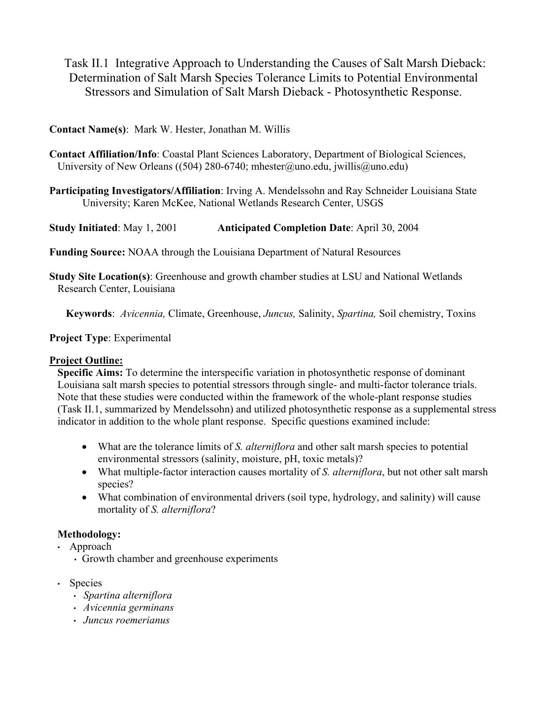Task II.1 Integrative Approach to Understanding the Causes of Salt Marsh Dieback: Determination of Salt Marsh Species Tolerance Limits to Potential Environmental Stressors and Simulation of Salt Marsh Dieback - Photosynthetic Response.

## **Contact Name(s)**: Mark W. Hester, Jonathan M. Willis

- **Contact Affiliation/Info**: Coastal Plant Sciences Laboratory, Department of Biological Sciences, University of New Orleans ((504) 280-6740; mhester@uno.edu, jwillis@uno.edu)
- **Participating Investigators/Affiliation**: Irving A. Mendelssohn and Ray Schneider Louisiana State University; Karen McKee, National Wetlands Research Center, USGS

**Study Initiated**: May 1, 2001 **Anticipated Completion Date**: April 30, 2004

**Funding Source:** NOAA through the Louisiana Department of Natural Resources

**Study Site Location(s)**: Greenhouse and growth chamber studies at LSU and National Wetlands Research Center, Louisiana

**Keywords**: *Avicennia,* Climate, Greenhouse, *Juncus,* Salinity, *Spartina,* Soil chemistry, Toxins

**Project Type**: Experimental

## **Project Outline:**

**Specific Aims:** To determine the interspecific variation in photosynthetic response of dominant Louisiana salt marsh species to potential stressors through single- and multi-factor tolerance trials. Note that these studies were conducted within the framework of the whole-plant response studies (Task II.1, summarized by Mendelssohn) and utilized photosynthetic response as a supplemental stress indicator in addition to the whole plant response. Specific questions examined include:

- What are the tolerance limits of *S. alterniflora* and other salt marsh species to potential environmental stressors (salinity, moisture, pH, toxic metals)?
- What multiple-factor interaction causes mortality of *S. alterniflora*, but not other salt marsh species?
- What combination of environmental drivers (soil type, hydrology, and salinity) will cause mortality of *S. alterniflora*?

# **Methodology:**

- Approach
	- Growth chamber and greenhouse experiments
- Species
	- *Spartina alterniflora*
	- *Avicennia germinans*
	- *Juncus roemerianus*